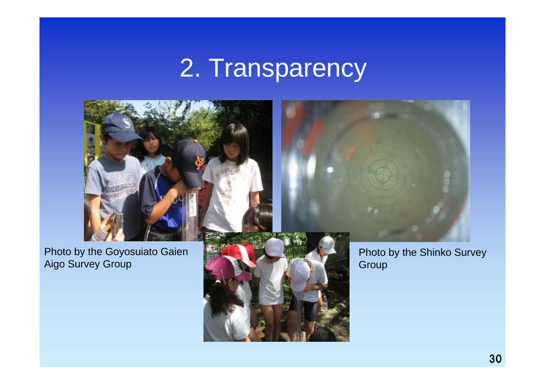## 2. Transparency

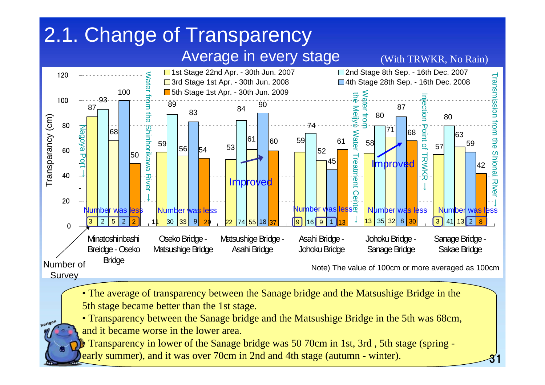## Average in every stage 2.1. Change of Transparency



31



• The average of transparency between the Sanage bridge and the Matsushige Bridge in the 5th stage became better than the 1st stage.

• Transparency between the Sanage bridge and the Matsushige Bridge in the 5th was 68cm,

and it became worse in the lower area.

horigon

• Transparency in lower of the Sanage bridge was 50 70cm in 1st, 3rd , 5th stage (spring early summer), and it was over 70cm in 2nd and 4th stage (autumn - winter).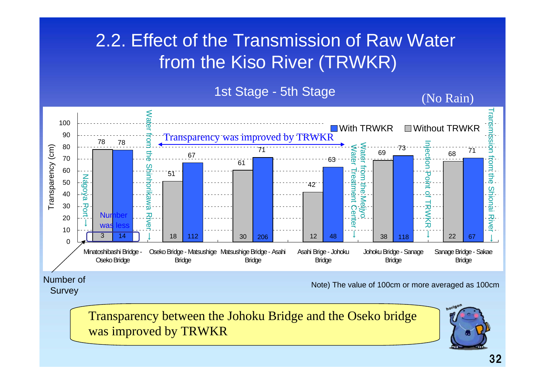## 2.2. Effect of the Transmission of Raw Water from the Kiso River (TRWKR)

1st Stage - 5th Stage  $\overline{N}$  (No Rain)



Number of **Survey** 

Note) The value of 100cm or more averaged as 100cm

Transparency between the Johoku Bridge and the Oseko bri[dge](mailto:2010@horikawa1000nin.jp)  was improved by TRWKR